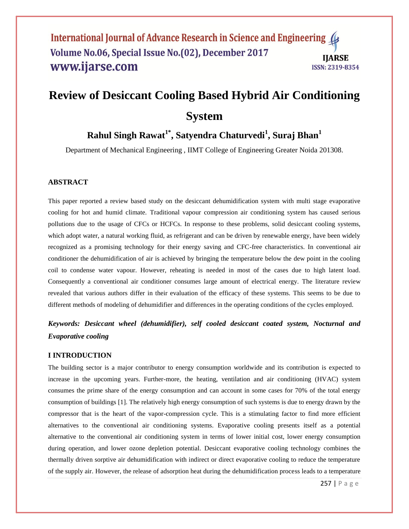# **Review of Desiccant Cooling Based Hybrid Air Conditioning System**

## **Rahul Singh Rawat1\* , Satyendra Chaturvedi<sup>1</sup> , Suraj Bhan<sup>1</sup>**

Department of Mechanical Engineering , IIMT College of Engineering Greater Noida 201308.

## **ABSTRACT**

This paper reported a review based study on the desiccant dehumidification system with multi stage evaporative cooling for hot and humid climate. Traditional vapour compression air conditioning system has caused serious pollutions due to the usage of CFCs or HCFCs. In response to these problems, solid desiccant cooling systems, which adopt water, a natural working fluid, as refrigerant and can be driven by renewable energy, have been widely recognized as a promising technology for their energy saving and CFC-free characteristics. In conventional air conditioner the dehumidification of air is achieved by bringing the temperature below the dew point in the cooling coil to condense water vapour. However, reheating is needed in most of the cases due to high latent load. Consequently a conventional air conditioner consumes large amount of electrical energy. The literature review revealed that various authors differ in their evaluation of the efficacy of these systems. This seems to be due to different methods of modeling of dehumidifier and differences in the operating conditions of the cycles employed.

*Keywords: Desiccant wheel (dehumidifier), self cooled desiccant coated system, Nocturnal and Evaporative cooling* 

## **I INTRODUCTION**

The building sector is a major contributor to energy consumption worldwide and its contribution is expected to increase in the upcoming years. Further-more, the heating, ventilation and air conditioning (HVAC) system consumes the prime share of the energy consumption and can account in some cases for 70% of the total energy consumption of buildings [1]. The relatively high energy consumption of such systems is due to energy drawn by the compressor that is the heart of the vapor-compression cycle. This is a stimulating factor to find more efficient alternatives to the conventional air conditioning systems. Evaporative cooling presents itself as a potential alternative to the conventional air conditioning system in terms of lower initial cost, lower energy consumption during operation, and lower ozone depletion potential. Desiccant evaporative cooling technology combines the thermally driven sorptive air dehumidification with indirect or direct evaporative cooling to reduce the temperature of the supply air. However, the release of adsorption heat during the dehumidification process leads to a temperature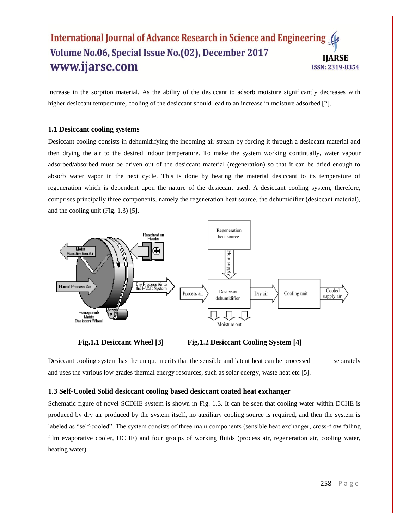increase in the sorption material. As the ability of the desiccant to adsorb moisture significantly decreases with higher desiccant temperature, cooling of the desiccant should lead to an increase in moisture adsorbed [2].

## **1.1 Desiccant cooling systems**

Desiccant cooling consists in dehumidifying the incoming air stream by forcing it through a desiccant material and then drying the air to the desired indoor temperature. To make the system working continually, water vapour adsorbed**/**absorbed must be driven out of the desiccant material (regeneration) so that it can be dried enough to absorb water vapor in the next cycle. This is done by heating the material desiccant to its temperature of regeneration which is dependent upon the nature of the desiccant used. A desiccant cooling system, therefore, comprises principally three components, namely the regeneration heat source, the dehumidifier (desiccant material), and the cooling unit (Fig. 1.3) [5].



**Fig.1.1 Desiccant Wheel [3] Fig.1.2 Desiccant Cooling System [4]**

Desiccant cooling system has the unique merits that the sensible and latent heat can be processed separately and uses the various low grades thermal energy resources, such as solar energy, waste heat etc [5].

## **1.3 Self-Cooled Solid desiccant cooling based desiccant coated heat exchanger**

Schematic figure of novel SCDHE system is shown in Fig. 1.3. It can be seen that cooling water within DCHE is produced by dry air produced by the system itself, no auxiliary cooling source is required, and then the system is labeled as "self-cooled". The system consists of three main components (sensible heat exchanger, cross-flow falling film evaporative cooler, DCHE) and four groups of working fluids (process air, regeneration air, cooling water, heating water).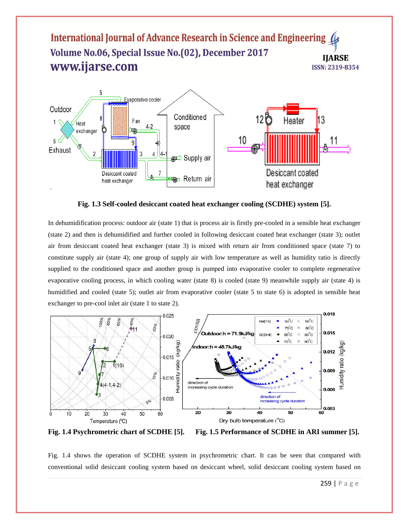

 **Fig. 1.3 Self-cooled desiccant coated heat exchanger cooling (SCDHE) system [5].** 

In dehumidification process: outdoor air (state 1) that is process air is firstly pre-cooled in a sensible heat exchanger (state 2) and then is dehumidified and further cooled in following desiccant coated heat exchanger (state 3); outlet air from desiccant coated heat exchanger (state 3) is mixed with return air from conditioned space (state 7) to constitute supply air (state 4); one group of supply air with low temperature as well as humidity ratio is directly supplied to the conditioned space and another group is pumped into evaporative cooler to complete regenerative evaporative cooling process, in which cooling water (state 8) is cooled (state 9) meanwhile supply air (state 4) is humidified and cooled (state 5); outlet air from evaporative cooler (state 5 to state 6) is adopted in sensible heat exchanger to pre-cool inlet air (state 1 to state 2).



**Fig. 1.4 Psychrometric chart of SCDHE [5]. Fig. 1.5 Performance of SCDHE in ARI summer [5].** 

Fig. 1.4 shows the operation of SCDHE system in psychrometric chart. It can be seen that compared with conventional solid desiccant cooling system based on desiccant wheel, solid desiccant cooling system based on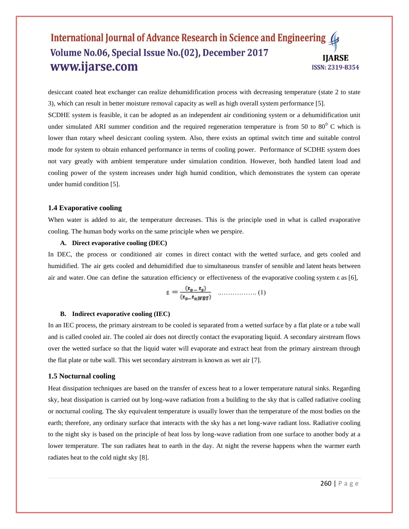desiccant coated heat exchanger can realize dehumidification process with decreasing temperature (state 2 to state 3), which can result in better moisture removal capacity as well as high overall system performance [5].

SCDHE system is feasible, it can be adopted as an independent air conditioning system or a dehumidification unit under simulated ARI summer condition and the required regeneration temperature is from 50 to  $80^{\circ}$  C which is lower than rotary wheel desiccant cooling system. Also, there exists an optimal switch time and suitable control mode for system to obtain enhanced performance in terms of cooling power. Performance of SCDHE system does not vary greatly with ambient temperature under simulation condition. However, both handled latent load and cooling power of the system increases under high humid condition, which demonstrates the system can operate under humid condition [5].

#### **1.4 Evaporative cooling**

When water is added to air, the temperature decreases. This is the principle used in what is called evaporative cooling. The human body works on the same principle when we perspire.

#### **A. Direct evaporative cooling (DEC)**

In DEC, the process or conditioned air comes in direct contact with the wetted surface, and gets cooled and humidified. The air gets cooled and dehumidified due to simultaneous transfer of sensible and latent heats between air and water. One can define the saturation efficiency or effectiveness of the evaporative cooling system ε as [6],

$$
\varepsilon = \frac{(t_0 - t_s)}{(t_0 - t_0 / WBT)} \quad \dots \dots \dots \dots \dots \dots \dots \tag{1}
$$

#### **B. Indirect evaporative cooling (IEC)**

In an IEC process, the primary airstream to be cooled is separated from a wetted surface by a flat plate or a tube wall and is called cooled air. The cooled air does not directly contact the evaporating liquid. A secondary airstream flows over the wetted surface so that the liquid water will evaporate and extract heat from the primary airstream through the flat plate or tube wall. This wet secondary airstream is known as wet air [7].

#### **1.5 Nocturnal cooling**

Heat dissipation techniques are based on the transfer of excess heat to a lower temperature natural sinks. Regarding sky, heat dissipation is carried out by long-wave radiation from a building to the sky that is called radiative cooling or nocturnal cooling. The sky equivalent temperature is usually lower than the temperature of the most bodies on the earth; therefore, any ordinary surface that interacts with the sky has a net long-wave radiant loss. Radiative cooling to the night sky is based on the principle of heat loss by long-wave radiation from one surface to another body at a lower temperature. The sun radiates heat to earth in the day. At night the reverse happens when the warmer earth radiates heat to the cold night sky [8].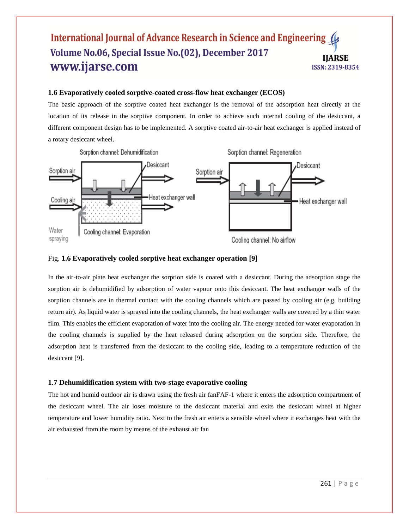## **1.6 Evaporatively cooled sorptive-coated cross-flow heat exchanger (ECOS)**

The basic approach of the sorptive coated heat exchanger is the removal of the adsorption heat directly at the location of its release in the sorptive component. In order to achieve such internal cooling of the desiccant, a different component design has to be implemented. A sorptive coated air-to-air heat exchanger is applied instead of a rotary desiccant wheel.



## Fig. **1.6 Evaporatively cooled sorptive heat exchanger operation [9]**

In the air-to-air plate heat exchanger the sorption side is coated with a desiccant. During the adsorption stage the sorption air is dehumidified by adsorption of water vapour onto this desiccant. The heat exchanger walls of the sorption channels are in thermal contact with the cooling channels which are passed by cooling air (e.g. building return air). As liquid water is sprayed into the cooling channels, the heat exchanger walls are covered by a thin water film. This enables the efficient evaporation of water into the cooling air. The energy needed for water evaporation in the cooling channels is supplied by the heat released during adsorption on the sorption side. Therefore, the adsorption heat is transferred from the desiccant to the cooling side, leading to a temperature reduction of the desiccant [9].

## **1.7 Dehumidification system with two-stage evaporative cooling**

The hot and humid outdoor air is drawn using the fresh air fanFAF-1 where it enters the adsorption compartment of the desiccant wheel. The air loses moisture to the desiccant material and exits the desiccant wheel at higher temperature and lower humidity ratio. Next to the fresh air enters a sensible wheel where it exchanges heat with the air exhausted from the room by means of the exhaust air fan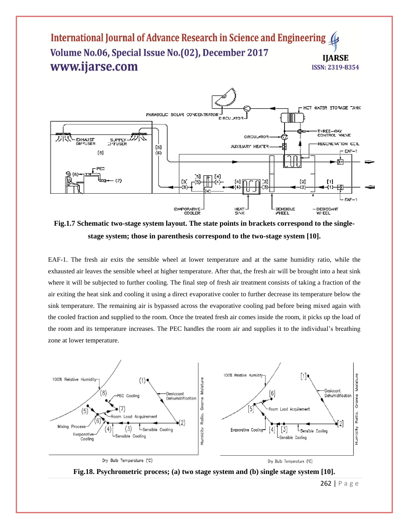

**Fig.1.7 Schematic two-stage system layout. The state points in brackets correspond to the singlestage system; those in parenthesis correspond to the two-stage system [10].**

EAF-1. The fresh air exits the sensible wheel at lower temperature and at the same humidity ratio, while the exhausted air leaves the sensible wheel at higher temperature. After that, the fresh air will be brought into a heat sink where it will be subjected to further cooling. The final step of fresh air treatment consists of taking a fraction of the air exiting the heat sink and cooling it using a direct evaporative cooler to further decrease its temperature below the sink temperature. The remaining air is bypassed across the evaporative cooling pad before being mixed again with the cooled fraction and supplied to the room. Once the treated fresh air comes inside the room, it picks up the load of the room and its temperature increases. The PEC handles the room air and supplies it to the individual's breathing zone at lower temperature.





262 | P a g e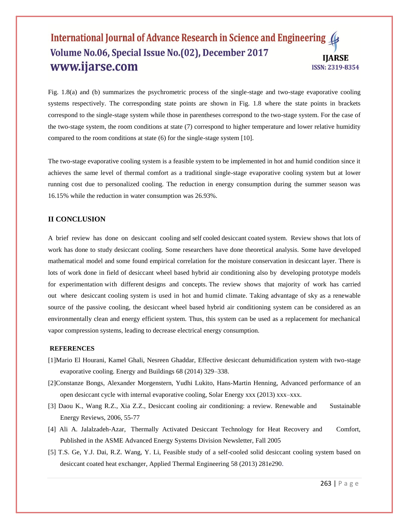Fig. 1.8(a) and (b) summarizes the psychrometric process of the single-stage and two-stage evaporative cooling systems respectively. The corresponding state points are shown in Fig. 1.8 where the state points in brackets correspond to the single-stage system while those in parentheses correspond to the two-stage system. For the case of the two-stage system, the room conditions at state (7) correspond to higher temperature and lower relative humidity compared to the room conditions at state (6) for the single-stage system [10].

The two-stage evaporative cooling system is a feasible system to be implemented in hot and humid condition since it achieves the same level of thermal comfort as a traditional single-stage evaporative cooling system but at lower running cost due to personalized cooling. The reduction in energy consumption during the summer season was 16.15% while the reduction in water consumption was 26.93%.

## **II CONCLUSION**

A brief review has done on desiccant cooling and self cooled desiccant coated system. Review shows that lots of work has done to study desiccant cooling. Some researchers have done theoretical analysis. Some have developed mathematical model and some found empirical correlation for the moisture conservation in desiccant layer. There is lots of work done in field of desiccant wheel based hybrid air conditioning also by developing prototype models for experimentation with different designs and concepts. The review shows that majority of work has carried out where desiccant cooling system is used in hot and humid climate. Taking advantage of sky as a renewable source of the passive cooling, the desiccant wheel based hybrid air conditioning system can be considered as an environmentally clean and energy efficient system. Thus, this system can be used as a replacement for mechanical vapor compression systems, leading to decrease electrical energy consumption.

### **REFERENCES**

- [1]Mario El Hourani, Kamel Ghali, Nesreen Ghaddar, Effective desiccant dehumidification system with two-stage evaporative cooling. Energy and Buildings 68 (2014) 329–338.
- [2]Constanze Bongs, Alexander Morgenstern, Yudhi Lukito, Hans-Martin Henning, Advanced performance of an open desiccant cycle with internal evaporative cooling, Solar Energy xxx (2013) xxx–xxx.
- [3] Daou K., Wang R.Z., Xia Z.Z., Desiccant cooling air conditioning: a review. Renewable and Sustainable Energy Reviews, 2006, 55-77
- [4] Ali A. Jalalzadeh-Azar, Thermally Activated Desiccant Technology for Heat Recovery and Comfort, Published in the ASME Advanced Energy Systems Division Newsletter, Fall 2005
- [5] T.S. Ge, Y.J. Dai, R.Z. Wang, Y. Li, Feasible study of a self-cooled solid desiccant cooling system based on desiccant coated heat exchanger, Applied Thermal Engineering 58 (2013) 281e290.